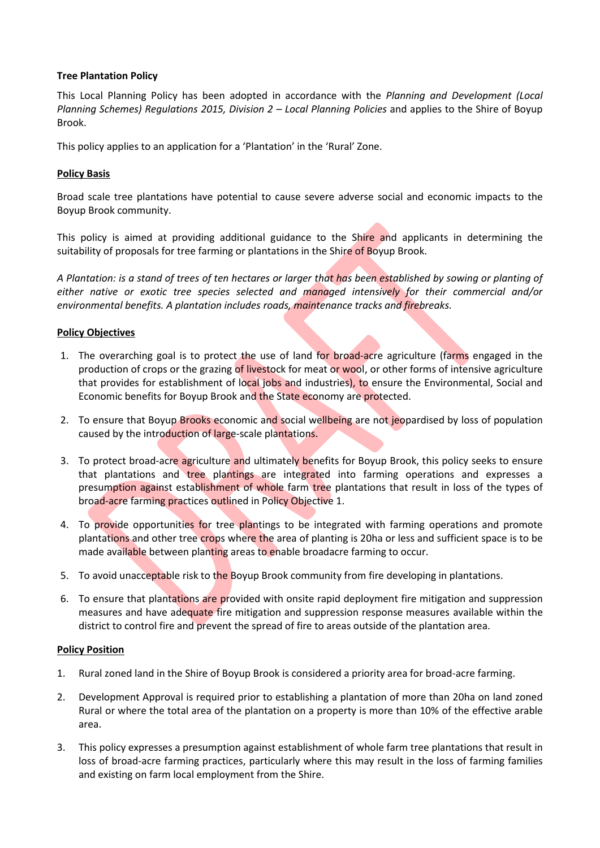# **Tree Plantation Policy**

This Local Planning Policy has been adopted in accordance with the *Planning and Development (Local Planning Schemes) Regulations 2015, Division 2 – Local Planning Policies* and applies to the Shire of Boyup Brook.

This policy applies to an application for a 'Plantation' in the 'Rural' Zone.

## **Policy Basis**

Broad scale tree plantations have potential to cause severe adverse social and economic impacts to the Boyup Brook community.

This policy is aimed at providing additional guidance to the Shire and applicants in determining the suitability of proposals for tree farming or plantations in the Shire of Boyup Brook.

*A Plantation: is a stand of trees of ten hectares or larger that has been established by sowing or planting of either native or exotic tree species selected and managed intensively for their commercial and/or environmental benefits. A plantation includes roads, maintenance tracks and firebreaks.*

### **Policy Objectives**

- 1. The overarching goal is to protect the use of land for broad-acre agriculture (farms engaged in the production of crops or the grazing of livestock for meat or wool, or other forms of intensive agriculture that provides for establishment of local jobs and industries), to ensure the Environmental, Social and Economic benefits for Boyup Brook and the State economy are protected.
- 2. To ensure that Boyup Brooks economic and social wellbeing are not jeopardised by loss of population caused by the introduction of large-scale plantations.
- 3. To protect broad-acre agriculture and ultimately benefits for Boyup Brook, this policy seeks to ensure that plantations and tree plantings are integrated into farming operations and expresses a presumption against establishment of whole farm tree plantations that result in loss of the types of broad-acre farming practices outlined in Policy Objective 1.
- 4. To provide opportunities for tree plantings to be integrated with farming operations and promote plantations and other tree crops where the area of planting is 20ha or less and sufficient space is to be made available between planting areas to enable broadacre farming to occur.
- 5. To avoid unacceptable risk to the Boyup Brook community from fire developing in plantations.
- 6. To ensure that plantations are provided with onsite rapid deployment fire mitigation and suppression measures and have adequate fire mitigation and suppression response measures available within the district to control fire and prevent the spread of fire to areas outside of the plantation area.

### **Policy Position**

- 1. Rural zoned land in the Shire of Boyup Brook is considered a priority area for broad-acre farming.
- 2. Development Approval is required prior to establishing a plantation of more than 20ha on land zoned Rural or where the total area of the plantation on a property is more than 10% of the effective arable area.
- 3. This policy expresses a presumption against establishment of whole farm tree plantations that result in loss of broad-acre farming practices, particularly where this may result in the loss of farming families and existing on farm local employment from the Shire.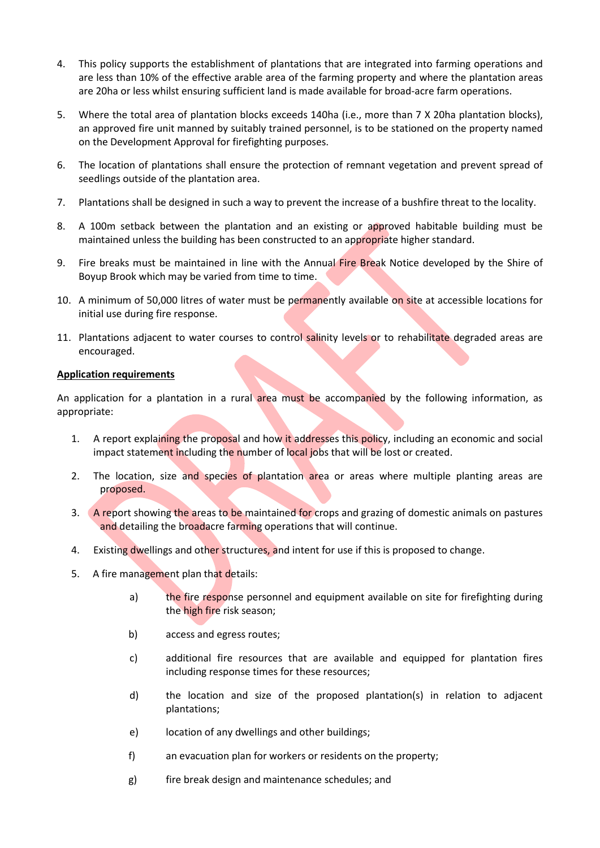- 4. This policy supports the establishment of plantations that are integrated into farming operations and are less than 10% of the effective arable area of the farming property and where the plantation areas are 20ha or less whilst ensuring sufficient land is made available for broad-acre farm operations.
- 5. Where the total area of plantation blocks exceeds 140ha (i.e., more than 7 X 20ha plantation blocks), an approved fire unit manned by suitably trained personnel, is to be stationed on the property named on the Development Approval for firefighting purposes.
- 6. The location of plantations shall ensure the protection of remnant vegetation and prevent spread of seedlings outside of the plantation area.
- 7. Plantations shall be designed in such a way to prevent the increase of a bushfire threat to the locality.
- 8. A 100m setback between the plantation and an existing or approved habitable building must be maintained unless the building has been constructed to an appropriate higher standard.
- 9. Fire breaks must be maintained in line with the Annual Fire Break Notice developed by the Shire of Boyup Brook which may be varied from time to time.
- 10. A minimum of 50,000 litres of water must be permanently available on site at accessible locations for initial use during fire response.
- 11. Plantations adjacent to water courses to control salinity levels or to rehabilitate degraded areas are encouraged.

# **Application requirements**

An application for a plantation in a rural area must be accompanied by the following information, as appropriate:

- 1. A report explaining the proposal and how it addresses this policy, including an economic and social impact statement including the number of local jobs that will be lost or created.
- 2. The location, size and species of plantation area or areas where multiple planting areas are proposed.
- 3. A report showing the areas to be maintained for crops and grazing of domestic animals on pastures and detailing the broadacre farming operations that will continue.
- 4. Existing dwellings and other structures, and intent for use if this is proposed to change.
- 5. A fire management plan that details:
	- a) the fire response personnel and equipment available on site for firefighting during the high fire risk season;
	- b) access and egress routes;
	- c) additional fire resources that are available and equipped for plantation fires including response times for these resources;
	- d) the location and size of the proposed plantation(s) in relation to adjacent plantations;
	- e) location of any dwellings and other buildings;
	- f) an evacuation plan for workers or residents on the property;
	- g) fire break design and maintenance schedules; and